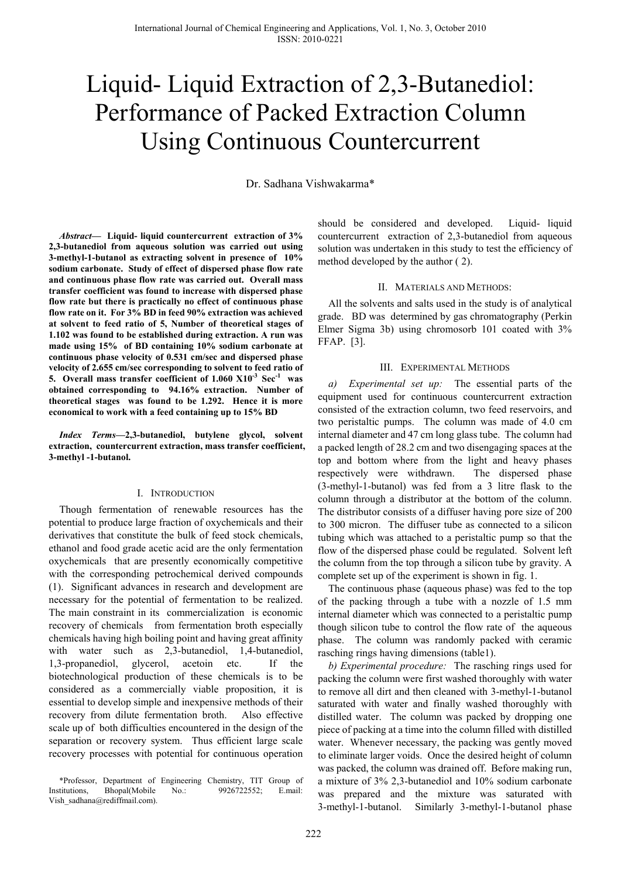# Liquid- Liquid Extraction of 2,3-Butanediol: Performance of Packed Extraction Column Using Continuous Countercurrent

Dr. Sadhana Vishwakarma\*

*Abstract***— Liquid- liquid countercurrent extraction of 3% 2,3-butanediol from aqueous solution was carried out using 3-methyl-1-butanol as extracting solvent in presence of 10% sodium carbonate. Study of effect of dispersed phase flow rate and continuous phase flow rate was carried out. Overall mass transfer coefficient was found to increase with dispersed phase flow rate but there is practically no effect of continuous phase flow rate on it. For 3% BD in feed 90% extraction was achieved at solvent to feed ratio of 5, Number of theoretical stages of 1.102 was found to be established during extraction. A run was made using 15% of BD containing 10% sodium carbonate at continuous phase velocity of 0.531 cm/sec and dispersed phase velocity of 2.655 cm/sec corresponding to solvent to feed ratio of 5. Overall mass transfer coefficient of 1.060 X10-3 Sec-1 was obtained corresponding to 94.16% extraction. Number of theoretical stages was found to be 1.292. Hence it is more economical to work with a feed containing up to 15% BD** 

*Index Terms***—2,3-butanediol, butylene glycol, solvent extraction, countercurrent extraction, mass transfer coefficient, 3-methyl -1-butanol.** 

## I. INTRODUCTION

Though fermentation of renewable resources has the potential to produce large fraction of oxychemicals and their derivatives that constitute the bulk of feed stock chemicals, ethanol and food grade acetic acid are the only fermentation oxychemicals that are presently economically competitive with the corresponding petrochemical derived compounds (1). Significant advances in research and development are necessary for the potential of fermentation to be realized. The main constraint in its commercialization is economic recovery of chemicals from fermentation broth especially chemicals having high boiling point and having great affinity with water such as 2,3-butanediol, 1,4-butanediol, 1,3-propanediol, glycerol, acetoin etc. If the biotechnological production of these chemicals is to be considered as a commercially viable proposition, it is essential to develop simple and inexpensive methods of their recovery from dilute fermentation broth. Also effective scale up of both difficulties encountered in the design of the separation or recovery system. Thus efficient large scale recovery processes with potential for continuous operation should be considered and developed. Liquid- liquid countercurrent extraction of 2,3-butanediol from aqueous solution was undertaken in this study to test the efficiency of method developed by the author ( 2).

## II. MATERIALS AND METHODS:

All the solvents and salts used in the study is of analytical grade. BD was determined by gas chromatography (Perkin Elmer Sigma 3b) using chromosorb 101 coated with 3% FFAP. [3].

## III. EXPERIMENTAL METHODS

*a) Experimental set up:* The essential parts of the equipment used for continuous countercurrent extraction consisted of the extraction column, two feed reservoirs, and two peristaltic pumps. The column was made of 4.0 cm internal diameter and 47 cm long glass tube. The column had a packed length of 28.2 cm and two disengaging spaces at the top and bottom where from the light and heavy phases respectively were withdrawn. The dispersed phase (3-methyl-1-butanol) was fed from a 3 litre flask to the column through a distributor at the bottom of the column. The distributor consists of a diffuser having pore size of 200 to 300 micron. The diffuser tube as connected to a silicon tubing which was attached to a peristaltic pump so that the flow of the dispersed phase could be regulated. Solvent left the column from the top through a silicon tube by gravity. A complete set up of the experiment is shown in fig. 1.

The continuous phase (aqueous phase) was fed to the top of the packing through a tube with a nozzle of 1.5 mm internal diameter which was connected to a peristaltic pump though silicon tube to control the flow rate of the aqueous phase. The column was randomly packed with ceramic rasching rings having dimensions (table1).

*b) Experimental procedure:*The rasching rings used for packing the column were first washed thoroughly with water to remove all dirt and then cleaned with 3-methyl-1-butanol saturated with water and finally washed thoroughly with distilled water. The column was packed by dropping one piece of packing at a time into the column filled with distilled water. Whenever necessary, the packing was gently moved to eliminate larger voids. Once the desired height of column was packed, the column was drained off. Before making run, a mixture of 3% 2,3-butanediol and 10% sodium carbonate was prepared and the mixture was saturated with 3-methyl-1-butanol. Similarly 3-methyl-1-butanol phase

<sup>\*</sup>Professor, Department of Engineering Chemistry, TIT Group of Institutions, Bhopal(Mobile No.: 9926722552; E.mail: Vish\_sadhana@rediffmail.com).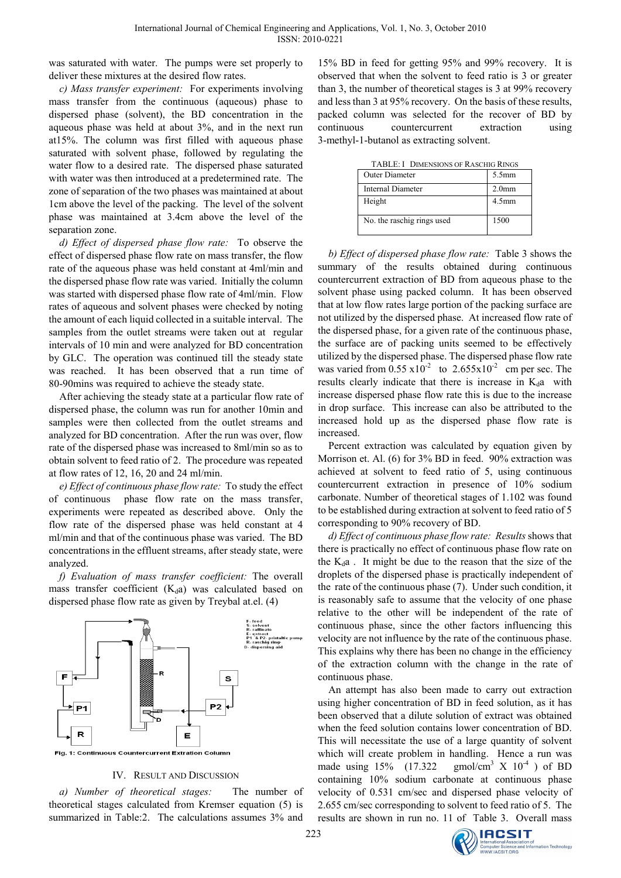was saturated with water. The pumps were set properly to deliver these mixtures at the desired flow rates.

*c) Mass transfer experiment:* For experiments involving mass transfer from the continuous (aqueous) phase to dispersed phase (solvent), the BD concentration in the aqueous phase was held at about 3%, and in the next run at15%. The column was first filled with aqueous phase saturated with solvent phase, followed by regulating the water flow to a desired rate. The dispersed phase saturated with water was then introduced at a predetermined rate. The zone of separation of the two phases was maintained at about 1cm above the level of the packing. The level of the solvent phase was maintained at 3.4cm above the level of the separation zone.

*d) Effect of dispersed phase flow rate:*To observe the effect of dispersed phase flow rate on mass transfer, the flow rate of the aqueous phase was held constant at 4ml/min and the dispersed phase flow rate was varied. Initially the column was started with dispersed phase flow rate of 4ml/min. Flow rates of aqueous and solvent phases were checked by noting the amount of each liquid collected in a suitable interval. The samples from the outlet streams were taken out at regular intervals of 10 min and were analyzed for BD concentration by GLC. The operation was continued till the steady state was reached. It has been observed that a run time of 80-90mins was required to achieve the steady state.

After achieving the steady state at a particular flow rate of dispersed phase, the column was run for another 10min and samples were then collected from the outlet streams and analyzed for BD concentration. After the run was over, flow rate of the dispersed phase was increased to 8ml/min so as to obtain solvent to feed ratio of 2. The procedure was repeated at flow rates of 12, 16, 20 and 24 ml/min.

*e) Effect of continuous phase flow rate:* To study the effect of continuous phase flow rate on the mass transfer, experiments were repeated as described above. Only the flow rate of the dispersed phase was held constant at 4 ml/min and that of the continuous phase was varied. The BD concentrations in the effluent streams, after steady state, were analyzed.

*f) Evaluation of mass transfer coefficient:* The overall mass transfer coefficient  $(K_d a)$  was calculated based on dispersed phase flow rate as given by Treybal at.el. (4)



IV. RESULT AND DISCUSSION

*a) Number of theoretical stages:* The number of theoretical stages calculated from Kremser equation (5) is summarized in Table:2. The calculations assumes 3% and 15% BD in feed for getting 95% and 99% recovery. It is observed that when the solvent to feed ratio is 3 or greater than 3, the number of theoretical stages is 3 at 99% recovery and less than 3 at 95% recovery. On the basis of these results, packed column was selected for the recover of BD by continuous countercurrent extraction using 3-methyl-1-butanol as extracting solvent.

TABLE: I DIMENSIONS OF RASCHIG RINGS

| Outer Diameter             | $5.5$ mm          |
|----------------------------|-------------------|
| Internal Diameter          | 2.0 <sub>mm</sub> |
| Height                     | 4.5 <sub>mm</sub> |
| No. the raschig rings used | 1500              |

*b) Effect of dispersed phase flow rate:* Table 3 shows the summary of the results obtained during continuous countercurrent extraction of BD from aqueous phase to the solvent phase using packed column. It has been observed that at low flow rates large portion of the packing surface are not utilized by the dispersed phase. At increased flow rate of the dispersed phase, for a given rate of the continuous phase, the surface are of packing units seemed to be effectively utilized by the dispersed phase. The dispersed phase flow rate was varied from  $0.55 \times 10^{-2}$  to  $2.655 \times 10^{-2}$  cm per sec. The results clearly indicate that there is increase in  $K_d$ a with increase dispersed phase flow rate this is due to the increase in drop surface. This increase can also be attributed to the increased hold up as the dispersed phase flow rate is increased.

Percent extraction was calculated by equation given by Morrison et. Al. (6) for 3% BD in feed. 90% extraction was achieved at solvent to feed ratio of 5, using continuous countercurrent extraction in presence of 10% sodium carbonate. Number of theoretical stages of 1.102 was found to be established during extraction at solvent to feed ratio of 5 corresponding to 90% recovery of BD.

*d) Effect of continuous phase flow rate: Results* shows that there is practically no effect of continuous phase flow rate on the  $K_d$ a. It might be due to the reason that the size of the droplets of the dispersed phase is practically independent of the rate of the continuous phase (7). Under such condition, it is reasonably safe to assume that the velocity of one phase relative to the other will be independent of the rate of continuous phase, since the other factors influencing this velocity are not influence by the rate of the continuous phase. This explains why there has been no change in the efficiency of the extraction column with the change in the rate of continuous phase.

An attempt has also been made to carry out extraction using higher concentration of BD in feed solution, as it has been observed that a dilute solution of extract was obtained when the feed solution contains lower concentration of BD. This will necessitate the use of a large quantity of solvent which will create problem in handling. Hence a run was made using  $15%$  (17.322)  $\text{gmol/cm}^3$  X  $10^{-4}$  ) of BD containing 10% sodium carbonate at continuous phase velocity of 0.531 cm/sec and dispersed phase velocity of 2.655 cm/sec corresponding to solvent to feed ratio of 5. The results are shown in run no. 11 of Table 3. Overall mass